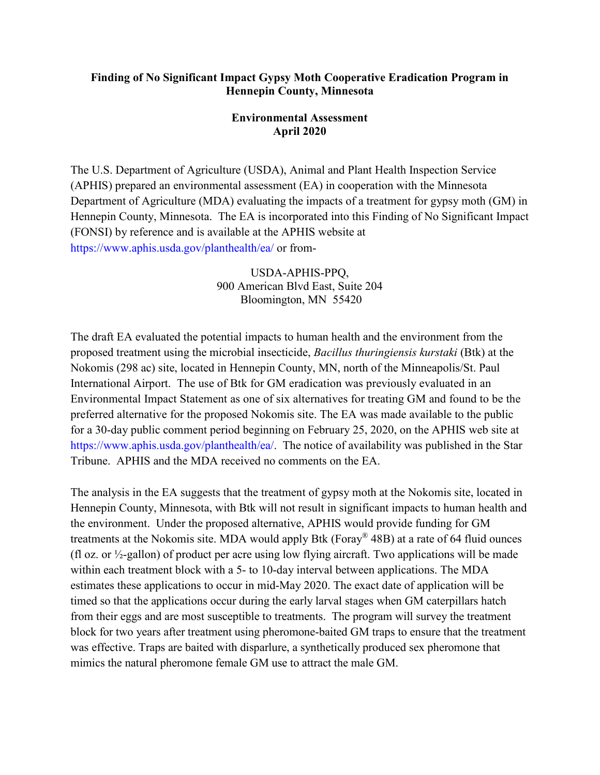## **Finding of No Significant Impact Gypsy Moth Cooperative Eradication Program in Hennepin County, Minnesota**

## **Environmental Assessment April 2020**

The U.S. Department of Agriculture (USDA), Animal and Plant Health Inspection Service (APHIS) prepared an environmental assessment (EA) in cooperation with the Minnesota Department of Agriculture (MDA) evaluating the impacts of a treatment for gypsy moth (GM) in Hennepin County, Minnesota. The EA is incorporated into this Finding of No Significant Impact (FONSI) by reference and is available at the APHIS website at https://www.aphis.usda.gov/planthealth/ea/ or from-

> USDA-APHIS-PPQ, 900 American Blvd East, Suite 204 Bloomington, MN 55420

The draft EA evaluated the potential impacts to human health and the environment from the proposed treatment using the microbial insecticide, *Bacillus thuringiensis kurstaki* (Btk) at the Nokomis (298 ac) site, located in Hennepin County, MN, north of the Minneapolis/St. Paul International Airport. The use of Btk for GM eradication was previously evaluated in an Environmental Impact Statement as one of six alternatives for treating GM and found to be the preferred alternative for the proposed Nokomis site. The EA was made available to the public for a 30-day public comment period beginning on February 25, 2020, on the APHIS web site at https://www.aphis.usda.gov/planthealth/ea/. The notice of availability was published in the Star Tribune. APHIS and the MDA received no comments on the EA.

The analysis in the EA suggests that the treatment of gypsy moth at the Nokomis site, located in Hennepin County, Minnesota, with Btk will not result in significant impacts to human health and the environment. Under the proposed alternative, APHIS would provide funding for GM treatments at the Nokomis site. MDA would apply Btk (Foray® 48B) at a rate of 64 fluid ounces (fl oz. or  $\frac{1}{2}$ -gallon) of product per acre using low flying aircraft. Two applications will be made within each treatment block with a 5- to 10-day interval between applications. The MDA estimates these applications to occur in mid-May 2020. The exact date of application will be timed so that the applications occur during the early larval stages when GM caterpillars hatch from their eggs and are most susceptible to treatments. The program will survey the treatment block for two years after treatment using pheromone-baited GM traps to ensure that the treatment was effective. Traps are baited with disparlure, a synthetically produced sex pheromone that mimics the natural pheromone female GM use to attract the male GM.